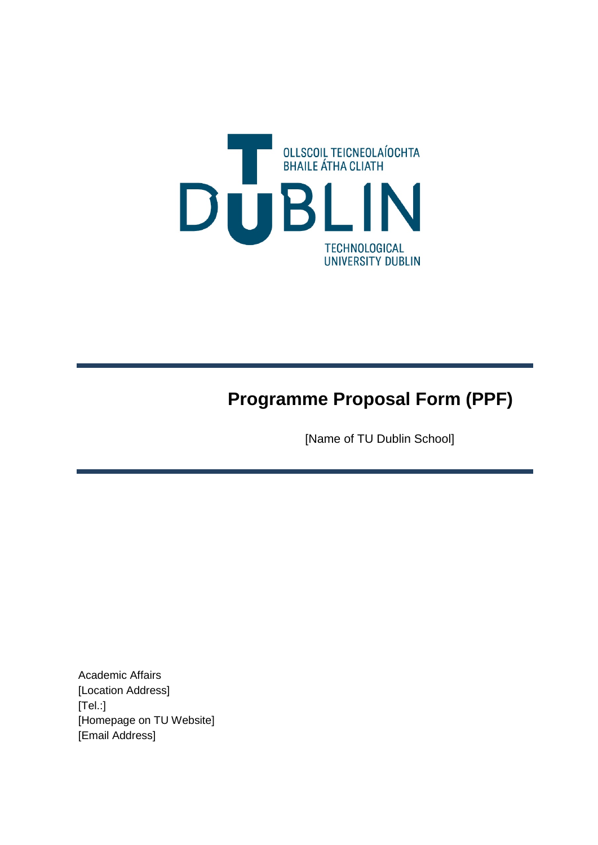

## **Programme Proposal Form (PPF)**

[Name of TU Dublin School]

Academic Affairs [Location Address] [Tel.:] [Homepage on TU Website] [Email Address]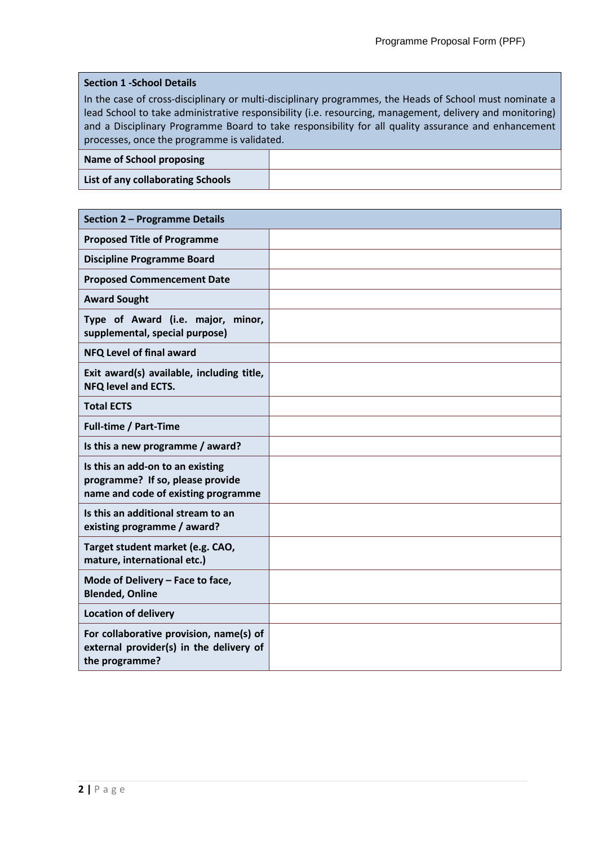## **Section 1 -School Details**

In the case of cross-disciplinary or multi-disciplinary programmes, the Heads of School must nominate a lead School to take administrative responsibility (i.e. resourcing, management, delivery and monitoring) and a Disciplinary Programme Board to take responsibility for all quality assurance and enhancement processes, once the programme is validated.

## **Name of School proposing**

**List of any collaborating Schools**

| Section 2 - Programme Details                                                                               |  |  |  |
|-------------------------------------------------------------------------------------------------------------|--|--|--|
| <b>Proposed Title of Programme</b>                                                                          |  |  |  |
| <b>Discipline Programme Board</b>                                                                           |  |  |  |
| <b>Proposed Commencement Date</b>                                                                           |  |  |  |
| <b>Award Sought</b>                                                                                         |  |  |  |
| Type of Award (i.e. major, minor,<br>supplemental, special purpose)                                         |  |  |  |
| NFQ Level of final award                                                                                    |  |  |  |
| Exit award(s) available, including title,<br><b>NFQ level and ECTS.</b>                                     |  |  |  |
| <b>Total ECTS</b>                                                                                           |  |  |  |
| <b>Full-time / Part-Time</b>                                                                                |  |  |  |
| Is this a new programme / award?                                                                            |  |  |  |
| Is this an add-on to an existing<br>programme? If so, please provide<br>name and code of existing programme |  |  |  |
| Is this an additional stream to an<br>existing programme / award?                                           |  |  |  |
| Target student market (e.g. CAO,<br>mature, international etc.)                                             |  |  |  |
| Mode of Delivery - Face to face,<br><b>Blended, Online</b>                                                  |  |  |  |
| <b>Location of delivery</b>                                                                                 |  |  |  |
| For collaborative provision, name(s) of<br>external provider(s) in the delivery of<br>the programme?        |  |  |  |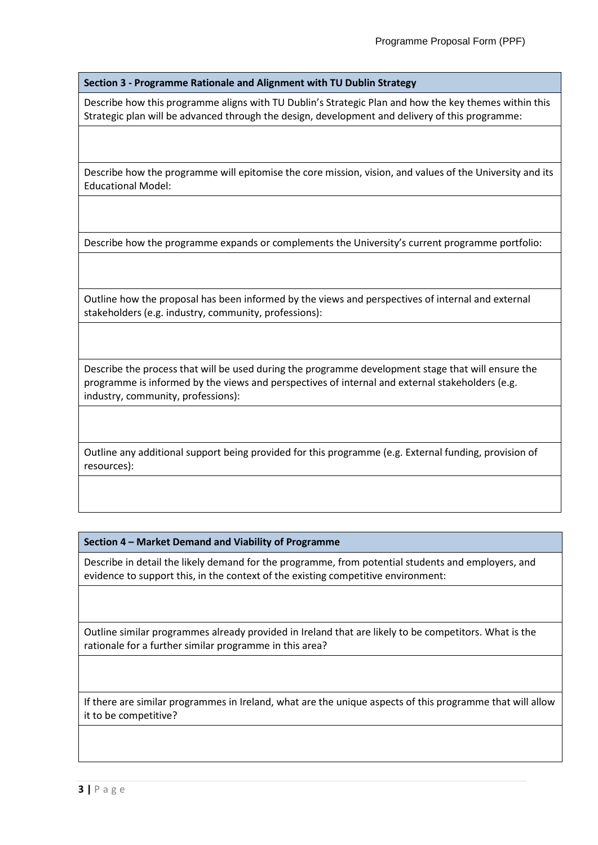**Section 3 - Programme Rationale and Alignment with TU Dublin Strategy**

Describe how this programme aligns with TU Dublin's Strategic Plan and how the key themes within this Strategic plan will be advanced through the design, development and delivery of this programme:

Describe how the programme will epitomise the core mission, vision, and values of the University and its Educational Model:

Describe how the programme expands or complements the University's current programme portfolio:

Outline how the proposal has been informed by the views and perspectives of internal and external stakeholders (e.g. industry, community, professions):

Describe the process that will be used during the programme development stage that will ensure the programme is informed by the views and perspectives of internal and external stakeholders (e.g. industry, community, professions):

Outline any additional support being provided for this programme (e.g. External funding, provision of resources):

**Section 4 – Market Demand and Viability of Programme**

Describe in detail the likely demand for the programme, from potential students and employers, and evidence to support this, in the context of the existing competitive environment:

Outline similar programmes already provided in Ireland that are likely to be competitors. What is the rationale for a further similar programme in this area?

If there are similar programmes in Ireland, what are the unique aspects of this programme that will allow it to be competitive?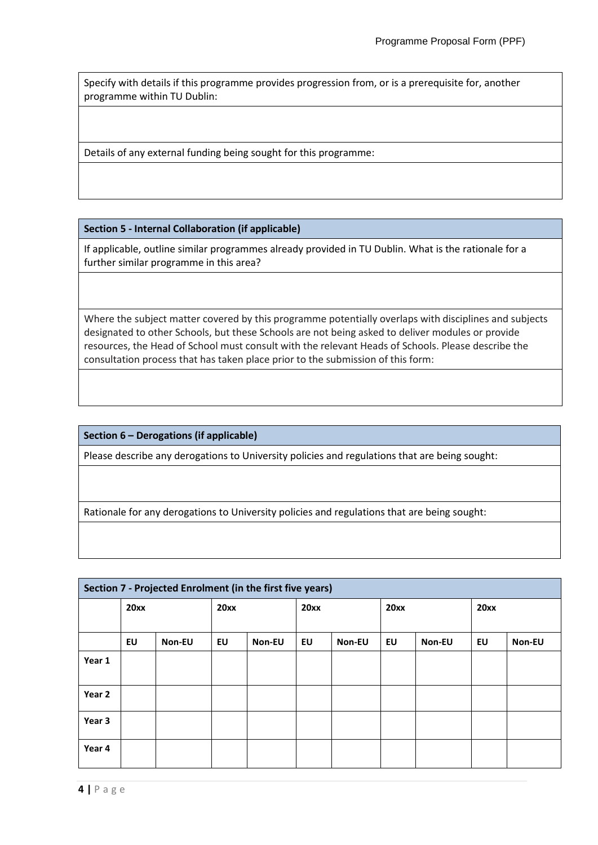Specify with details if this programme provides progression from, or is a prerequisite for, another programme within TU Dublin:

Details of any external funding being sought for this programme:

**Section 5 - Internal Collaboration (if applicable)**

If applicable, outline similar programmes already provided in TU Dublin. What is the rationale for a further similar programme in this area?

Where the subject matter covered by this programme potentially overlaps with disciplines and subjects designated to other Schools, but these Schools are not being asked to deliver modules or provide resources, the Head of School must consult with the relevant Heads of Schools. Please describe the consultation process that has taken place prior to the submission of this form:

**Section 6 – Derogations (if applicable)**

Please describe any derogations to University policies and regulations that are being sought:

Rationale for any derogations to University policies and regulations that are being sought:

| Section 7 - Projected Enrolment (in the first five years) |      |        |      |        |      |        |      |        |      |        |
|-----------------------------------------------------------|------|--------|------|--------|------|--------|------|--------|------|--------|
|                                                           | 20xx |        | 20xx |        | 20xx |        | 20xx |        | 20xx |        |
|                                                           |      |        |      |        |      |        |      |        |      |        |
|                                                           | EU   | Non-EU | EU   | Non-EU | EU   | Non-EU | EU   | Non-EU | EU   | Non-EU |
| Year 1                                                    |      |        |      |        |      |        |      |        |      |        |
| Year 2                                                    |      |        |      |        |      |        |      |        |      |        |
| Year 3                                                    |      |        |      |        |      |        |      |        |      |        |
| Year 4                                                    |      |        |      |        |      |        |      |        |      |        |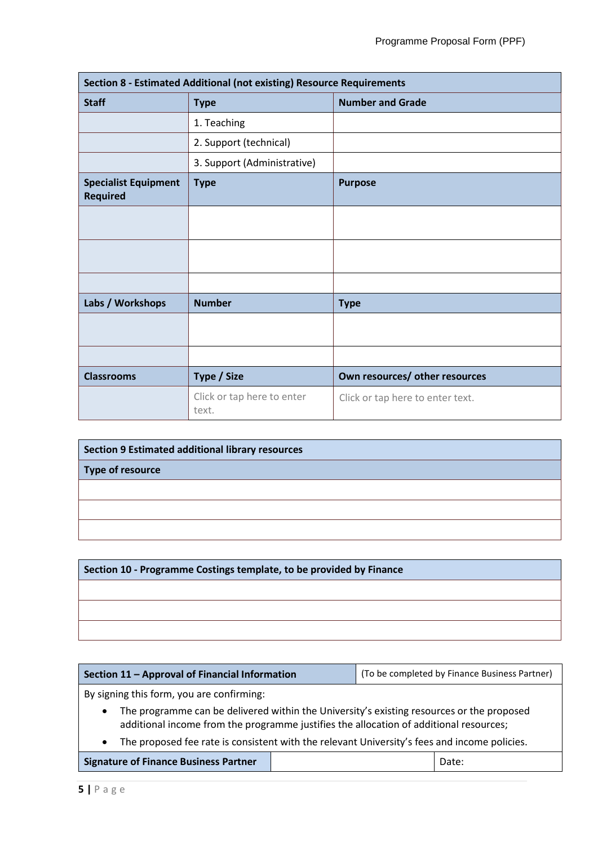| Section 8 - Estimated Additional (not existing) Resource Requirements |                                     |                                  |  |  |  |
|-----------------------------------------------------------------------|-------------------------------------|----------------------------------|--|--|--|
| <b>Staff</b>                                                          | <b>Type</b>                         | <b>Number and Grade</b>          |  |  |  |
|                                                                       | 1. Teaching                         |                                  |  |  |  |
|                                                                       | 2. Support (technical)              |                                  |  |  |  |
|                                                                       | 3. Support (Administrative)         |                                  |  |  |  |
| <b>Specialist Equipment</b><br><b>Required</b>                        | <b>Type</b>                         | <b>Purpose</b>                   |  |  |  |
|                                                                       |                                     |                                  |  |  |  |
|                                                                       |                                     |                                  |  |  |  |
|                                                                       |                                     |                                  |  |  |  |
| Labs / Workshops                                                      | <b>Number</b>                       | <b>Type</b>                      |  |  |  |
|                                                                       |                                     |                                  |  |  |  |
|                                                                       |                                     |                                  |  |  |  |
| <b>Classrooms</b>                                                     | Type / Size                         | Own resources/ other resources   |  |  |  |
|                                                                       | Click or tap here to enter<br>text. | Click or tap here to enter text. |  |  |  |

| <b>Section 9 Estimated additional library resources</b> |  |  |  |
|---------------------------------------------------------|--|--|--|
| Type of resource                                        |  |  |  |
|                                                         |  |  |  |
|                                                         |  |  |  |
|                                                         |  |  |  |

| Section 10 - Programme Costings template, to be provided by Finance |  |  |
|---------------------------------------------------------------------|--|--|
|                                                                     |  |  |
|                                                                     |  |  |
|                                                                     |  |  |

| Section 11 - Approval of Financial Information                                                                                                                                                   |  | (To be completed by Finance Business Partner) |       |  |
|--------------------------------------------------------------------------------------------------------------------------------------------------------------------------------------------------|--|-----------------------------------------------|-------|--|
| By signing this form, you are confirming:                                                                                                                                                        |  |                                               |       |  |
| The programme can be delivered within the University's existing resources or the proposed<br>$\bullet$<br>additional income from the programme justifies the allocation of additional resources; |  |                                               |       |  |
| The proposed fee rate is consistent with the relevant University's fees and income policies.<br>$\bullet$                                                                                        |  |                                               |       |  |
| <b>Signature of Finance Business Partner</b>                                                                                                                                                     |  |                                               | Date: |  |